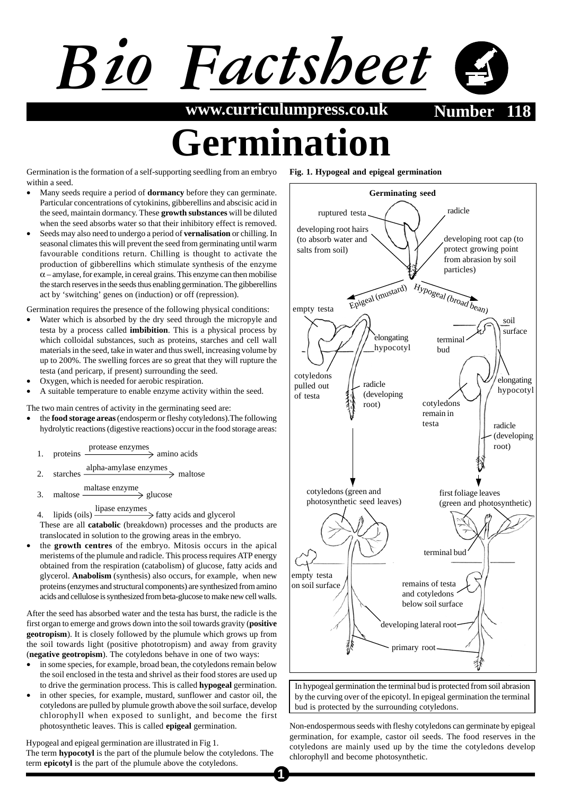

**www.curriculumpress.co.uk Number** 

## **Armi**i

**Fig. 1. Hypogeal and epigeal germination**

Germination is the formation of a self-supporting seedling from an embryo within a seed.

- Many seeds require a period of **dormancy** before they can germinate. Particular concentrations of cytokinins, gibberellins and abscisic acid in the seed, maintain dormancy. These **growth substances** will be diluted when the seed absorbs water so that their inhibitory effect is removed.
- Seeds may also need to undergo a period of **vernalisation** or chilling. In seasonal climates this will prevent the seed from germinating until warm favourable conditions return. Chilling is thought to activate the production of gibberellins which stimulate synthesis of the enzyme  $\alpha$  – amylase, for example, in cereal grains. This enzyme can then mobilise the starch reserves in the seeds thus enabling germination. The gibberellins act by 'switching' genes on (induction) or off (repression).

Germination requires the presence of the following physical conditions:

- Water which is absorbed by the dry seed through the micropyle and testa by a process called **imbibition**. This is a physical process by which colloidal substances, such as proteins, starches and cell wall materials in the seed, take in water and thus swell, increasing volume by up to 200%. The swelling forces are so great that they will rupture the testa (and pericarp, if present) surrounding the seed.
- Oxygen, which is needed for aerobic respiration.
- A suitable temperature to enable enzyme activity within the seed.

The two main centres of activity in the germinating seed are:

- the **food storage areas** (endosperm or fleshy cotyledons).The following hydrolytic reactions (digestive reactions) occur in the food storage areas:
	- 1. proteins  $\frac{\text{protease enzymes}}{\text{poton}}$  amino acids
	- 2. starches  $\frac{\text{alpha-mylase enzymes}}{\text{malrose}}$  maltose
	- 3. maltose  $\frac{\text{maltase enzyme}}{\text{glucose}}$  glucose

4. lipids (oils)  $\frac{\text{lipase enzymes}}{\text{fatty acids and glycerol}}$ 

These are all **catabolic** (breakdown) processes and the products are translocated in solution to the growing areas in the embryo.

• the **growth centres** of the embryo. Mitosis occurs in the apical meristems of the plumule and radicle. This process requires ATP energy obtained from the respiration (catabolism) of glucose, fatty acids and glycerol. **Anabolism** (synthesis) also occurs, for example, when new proteins (enzymes and structural components) are synthesized from amino acids and cellulose is synthesized from beta-glucose to make new cell walls.

After the seed has absorbed water and the testa has burst, the radicle is the first organ to emerge and grows down into the soil towards gravity (**positive geotropism**). It is closely followed by the plumule which grows up from the soil towards light (positive phototropism) and away from gravity (**negative geotropism**). The cotyledons behave in one of two ways:

- in some species, for example, broad bean, the cotyledons remain below the soil enclosed in the testa and shrivel as their food stores are used up to drive the germination process. This is called **hypogeal** germination.
- in other species, for example, mustard, sunflower and castor oil, the cotyledons are pulled by plumule growth above the soil surface, develop chlorophyll when exposed to sunlight, and become the first photosynthetic leaves. This is called **epigeal** germination.

Hypogeal and epigeal germination are illustrated in Fig 1.

The term **hypocotyl** is the part of the plumule below the cotyledons. The term **epicotyl** is the part of the plumule above the cotyledons.



In hypogeal germination the terminal bud is protected from soil abrasion by the curving over of the epicotyl. In epigeal germination the terminal bud is protected by the surrounding cotyledons.

Non-endospermous seeds with fleshy cotyledons can germinate by epigeal germination, for example, castor oil seeds. The food reserves in the cotyledons are mainly used up by the time the cotyledons develop chlorophyll and become photosynthetic.